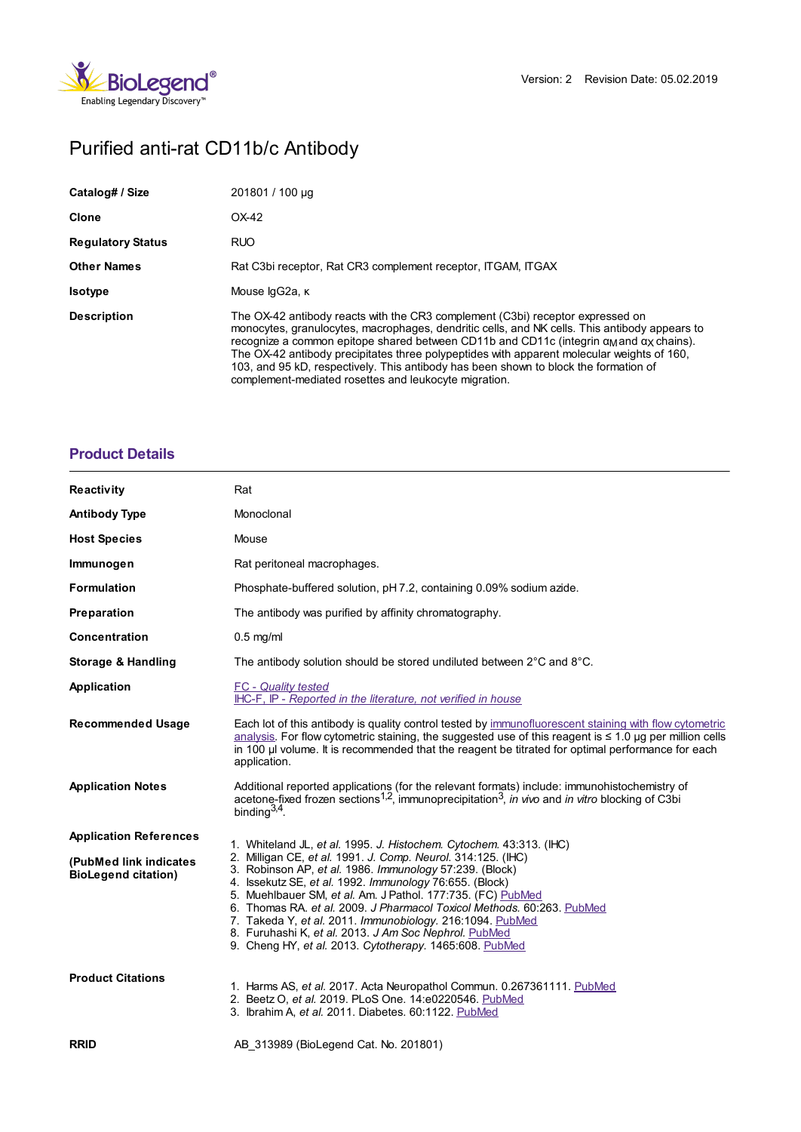

# Purified anti-rat CD11b/c Antibody

| Catalog# / Size          | 201801 / 100 µg                                                                                                                                                                                                                                                                                                                                                                                                                                                                                                                          |
|--------------------------|------------------------------------------------------------------------------------------------------------------------------------------------------------------------------------------------------------------------------------------------------------------------------------------------------------------------------------------------------------------------------------------------------------------------------------------------------------------------------------------------------------------------------------------|
| Clone                    | OX-42                                                                                                                                                                                                                                                                                                                                                                                                                                                                                                                                    |
| <b>Regulatory Status</b> | <b>RUO</b>                                                                                                                                                                                                                                                                                                                                                                                                                                                                                                                               |
| <b>Other Names</b>       | Rat C3bi receptor, Rat CR3 complement receptor, ITGAM, ITGAX                                                                                                                                                                                                                                                                                                                                                                                                                                                                             |
| <b>Isotype</b>           | Mouse lgG2a, к                                                                                                                                                                                                                                                                                                                                                                                                                                                                                                                           |
| <b>Description</b>       | The OX-42 antibody reacts with the CR3 complement (C3bi) receptor expressed on<br>monocytes, granulocytes, macrophages, dendritic cells, and NK cells. This antibody appears to<br>recognize a common epitope shared between CD11b and CD11c (integrin $\alpha_M$ and $\alpha_X$ chains).<br>The OX-42 antibody precipitates three polypeptides with apparent molecular weights of 160,<br>103, and 95 kD, respectively. This antibody has been shown to block the formation of<br>complement-mediated rosettes and leukocyte migration. |

## **[Product](https://www.biolegend.com/fr-ch/products/purified-anti-rat-cd11b-c-antibody-2390?pdf=true&displayInline=true&leftRightMargin=15&topBottomMargin=15&filename=Purified anti-rat CD11b/c Antibody.pdf#productDetails) Details**

| <b>Reactivity</b>                                     | Rat                                                                                                                                                                                                                                                                                                                                                                                                                                                                                                          |
|-------------------------------------------------------|--------------------------------------------------------------------------------------------------------------------------------------------------------------------------------------------------------------------------------------------------------------------------------------------------------------------------------------------------------------------------------------------------------------------------------------------------------------------------------------------------------------|
| <b>Antibody Type</b>                                  | Monoclonal                                                                                                                                                                                                                                                                                                                                                                                                                                                                                                   |
| <b>Host Species</b>                                   | Mouse                                                                                                                                                                                                                                                                                                                                                                                                                                                                                                        |
| Immunogen                                             | Rat peritoneal macrophages.                                                                                                                                                                                                                                                                                                                                                                                                                                                                                  |
| <b>Formulation</b>                                    | Phosphate-buffered solution, pH 7.2, containing 0.09% sodium azide.                                                                                                                                                                                                                                                                                                                                                                                                                                          |
| Preparation                                           | The antibody was purified by affinity chromatography.                                                                                                                                                                                                                                                                                                                                                                                                                                                        |
| Concentration                                         | $0.5$ mg/ml                                                                                                                                                                                                                                                                                                                                                                                                                                                                                                  |
| <b>Storage &amp; Handling</b>                         | The antibody solution should be stored undiluted between 2°C and 8°C.                                                                                                                                                                                                                                                                                                                                                                                                                                        |
| <b>Application</b>                                    | <b>FC</b> - Quality tested<br>IHC-F, IP - Reported in the literature, not verified in house                                                                                                                                                                                                                                                                                                                                                                                                                  |
| <b>Recommended Usage</b>                              | Each lot of this antibody is quality control tested by immunofluorescent staining with flow cytometric<br>analysis. For flow cytometric staining, the suggested use of this reagent is $\leq 1.0$ ug per million cells<br>in 100 µ volume. It is recommended that the reagent be titrated for optimal performance for each<br>application.                                                                                                                                                                   |
| <b>Application Notes</b>                              | Additional reported applications (for the relevant formats) include: immunohistochemistry of<br>acetone-fixed frozen sections <sup>1,2</sup> , immunoprecipitation <sup>3</sup> , in vivo and in vitro blocking of C3bi<br>binding $3,4$ .                                                                                                                                                                                                                                                                   |
| <b>Application References</b>                         | 1. Whiteland JL, et al. 1995. J. Histochem. Cytochem. 43:313. (IHC)                                                                                                                                                                                                                                                                                                                                                                                                                                          |
| (PubMed link indicates)<br><b>BioLegend citation)</b> | 2. Milligan CE, et al. 1991. J. Comp. Neurol. 314:125. (IHC)<br>3. Robinson AP, et al. 1986. Immunology 57:239. (Block)<br>4. Issekutz SE, et al. 1992. Immunology 76:655. (Block)<br>5. Muehlbauer SM, et al. Am. J Pathol. 177:735. (FC) PubMed<br>6. Thomas RA. et al. 2009. J Pharmacol Toxicol Methods. 60:263. PubMed<br>7. Takeda Y, et al. 2011. Immunobiology. 216:1094. PubMed<br>8. Furuhashi K, et al. 2013. J Am Soc Nephrol. PubMed<br>9. Cheng HY, et al. 2013. Cytotherapy. 1465:608. PubMed |
| <b>Product Citations</b>                              | 1. Harms AS, et al. 2017. Acta Neuropathol Commun. 0.267361111. PubMed<br>2. Beetz O, et al. 2019. PLoS One. 14:e0220546. PubMed<br>3. Ibrahim A, et al. 2011. Diabetes. 60:1122. PubMed                                                                                                                                                                                                                                                                                                                     |
| <b>RRID</b>                                           | AB 313989 (BioLegend Cat. No. 201801)                                                                                                                                                                                                                                                                                                                                                                                                                                                                        |